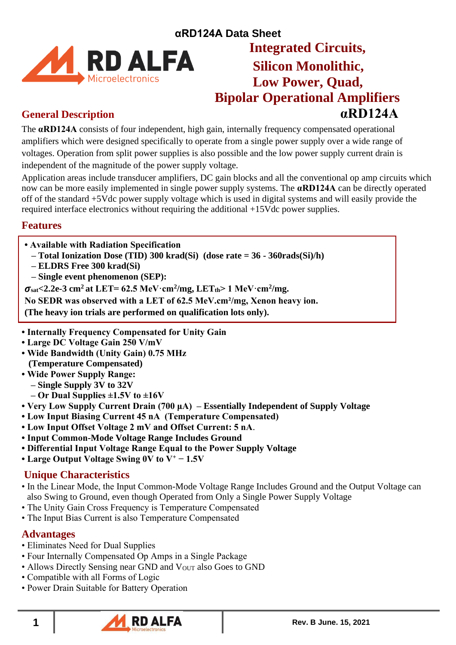

# **αRD124A Data Sheet Low Power, Quad, Bipolar Operational Amplifiers General Description αRD124A**

The **αRD124A** consists of four independent, high gain, internally frequency compensated operational amplifiers which were designed specifically to operate from a single power supply over a wide range of voltages. Operation from split power supplies is also possible and the low power supply current drain is independent of the magnitude of the power supply voltage.

Application areas include transducer amplifiers, DC gain blocks and all the conventional op amp circuits which now can be more easily implemented in single power supply systems. The **αRD124A** can be directly operated off of the standard +5Vdc power supply voltage which is used in digital systems and will easily provide the required interface electronics without requiring the additional +15Vdc power supplies.

## **Features**

- **Available with Radiation Specification**
- **– Total Ionization Dose (TID) 300 krad(Si) (dose rate = 36 - 360rads(Si)/h)**
- **– ELDRS Free 300 krad(Si)**
- **– Single event phenomenon (SEP):**

 $\sigma_{\text{sat}}$  < 2.2e-3 cm<sup>2</sup> at LET= 62.5 MeV·cm<sup>2</sup>/mg, LET<sub>th</sub> > 1 MeV·cm<sup>2</sup>/mg.

**No SEDR was observed with a LET of 62.5 MeV.cm²/mg, Xenon heavy ion.**

**(The heavy ion trials are performed on qualification lots only).**

- **Internally Frequency Compensated for Unity Gain**
- **Large DC Voltage Gain 250 V/mV**
- **Wide Bandwidth (Unity Gain) 0.75 MHz (Temperature Compensated)**
- **Wide Power Supply Range: – Single Supply 3V to 32V** 
	- **– Or Dual Supplies ±1.5V to ±16V**
- **Very Low Supply Current Drain (700 μA) – Essentially Independent of Supply Voltage**
- **Low Input Biasing Current 45 nA (Temperature Compensated)**
- **Low Input Offset Voltage 2 mV and Offset Current: 5 nA**.
- **Input Common-Mode Voltage Range Includes Ground**
- **Differential Input Voltage Range Equal to the Power Supply Voltage**
- **Large Output Voltage Swing 0V to V<sup>+</sup> − 1.5V**

## **Unique Characteristics**

- In the Linear Mode, the Input Common-Mode Voltage Range Includes Ground and the Output Voltage can also Swing to Ground, even though Operated from Only a Single Power Supply Voltage
- The Unity Gain Cross Frequency is Temperature Compensated
- The Input Bias Current is also Temperature Compensated

## **Advantages**

- Eliminates Need for Dual Supplies
- Four Internally Compensated Op Amps in a Single Package
- Allows Directly Sensing near GND and  $V<sub>OUT</sub>$  also Goes to GND
- Compatible with all Forms of Logic
- Power Drain Suitable for Battery Operation

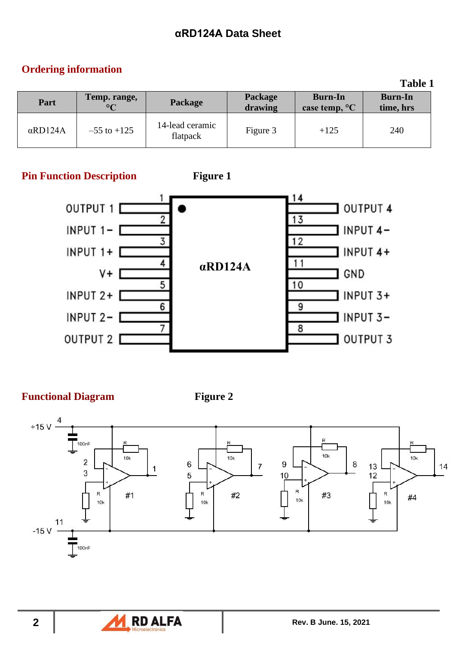# **Ordering information**

|                 |                                           |                             |                    |                                           | 1 UNIV 1                    |  |
|-----------------|-------------------------------------------|-----------------------------|--------------------|-------------------------------------------|-----------------------------|--|
| Part            | Temp. range,<br>Package<br>$\circ$ $\cap$ |                             | Package<br>drawing | <b>Burn-In</b><br>case temp, $\mathrm{C}$ | <b>Burn-In</b><br>time, hrs |  |
| $\alpha$ RD124A | $-55$ to $+125$                           | 14-lead ceramic<br>flatpack | Figure 3           | $+125$                                    | 240                         |  |

**Pin Function Description Figure 1** 





**Functional Diagram Figure 2** 







**Table 1**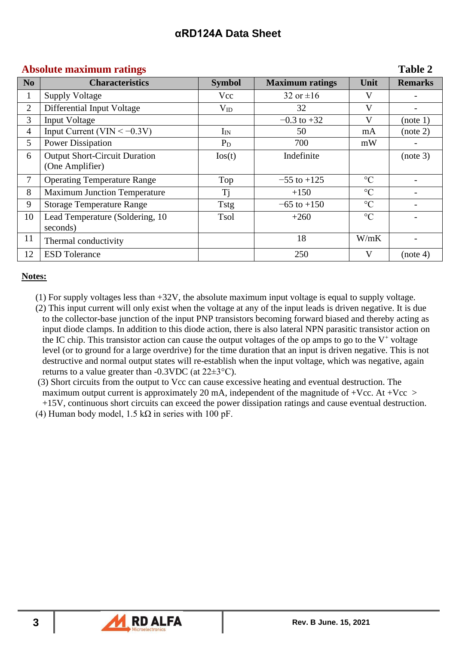### **Absolute maximum ratings Table 2**

| N <sub>0</sub> | <b>Characteristics</b>               | <b>Symbol</b>   | <b>Maximum</b> ratings | Unit            | <b>Remarks</b> |
|----------------|--------------------------------------|-----------------|------------------------|-----------------|----------------|
| 1              | <b>Supply Voltage</b>                | Vcc             | 32 or $\pm 16$         | V               |                |
| $\overline{2}$ | Differential Input Voltage           | $V_{ID}$        | 32                     | V               |                |
| 3              | <b>Input Voltage</b>                 |                 | $-0.3$ to $+32$        | V               | (note 1)       |
| $\overline{4}$ | Input Current (VIN $<-0.3V$ )        | $I_{IN}$        | 50                     | mA              | (note 2)       |
| 5              | <b>Power Dissipation</b>             | $P_D$           | 700                    | mW              |                |
| 6              | <b>Output Short-Circuit Duration</b> | $\text{los}(t)$ | Indefinite             |                 | (note 3)       |
|                | (One Amplifier)                      |                 |                        |                 |                |
| 7              | <b>Operating Temperature Range</b>   | Top             | $-55$ to $+125$        | $\rm ^{\circ}C$ |                |
| 8              | <b>Maximum Junction Temperature</b>  | Tj              | $+150$                 | $\rm ^{\circ}C$ |                |
| 9              | <b>Storage Temperature Range</b>     | <b>Tstg</b>     | $-65$ to $+150$        | $\rm ^{\circ}C$ |                |
| 10             | Lead Temperature (Soldering, 10)     | Tsol            | $+260$                 | $\rm ^{\circ}C$ |                |
|                | seconds)                             |                 |                        |                 |                |
| 11             | Thermal conductivity                 |                 | 18                     | W/mK            |                |
| 12             | <b>ESD Tolerance</b>                 |                 | 250                    | V               | (note 4)       |

### **Notes:**

- (1) For supply voltages less than +32V, the absolute maximum input voltage is equal to supply voltage.
- (2) This input current will only exist when the voltage at any of the input leads is driven negative. It is due to the collector-base junction of the input PNP transistors becoming forward biased and thereby acting as input diode clamps. In addition to this diode action, there is also lateral NPN parasitic transistor action on the IC chip. This transistor action can cause the output voltages of the op amps to go to the  $V^+$  voltage level (or to ground for a large overdrive) for the time duration that an input is driven negative. This is not destructive and normal output states will re-establish when the input voltage, which was negative, again returns to a value greater than  $-0.3$ VDC (at  $22\pm3$ °C).
- (3) Short circuits from the output to Vcc can cause excessive heating and eventual destruction. The maximum output current is approximately 20 mA, independent of the magnitude of +Vcc. At +Vcc  $>$ +15V, continuous short circuits can exceed the power dissipation ratings and cause eventual destruction.
- (4) Human body model,  $1.5 \text{ k}\Omega$  in series with 100 pF.

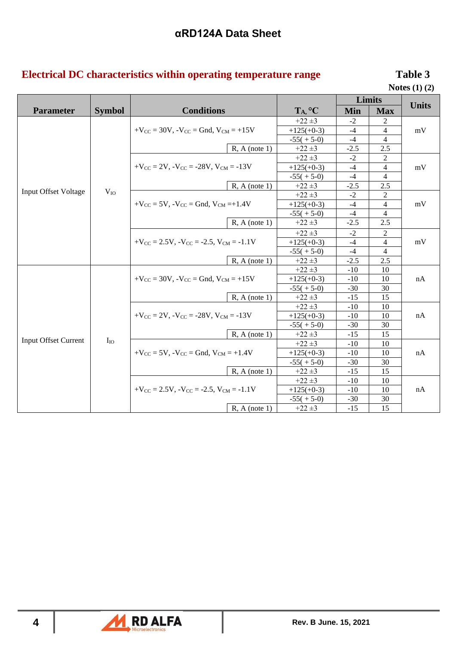# **Electrical DC characteristics within operating temperature range Table 3**

**Notes (1) (2)**

|                             |               |                                                                          |              | Limits     |                |              |
|-----------------------------|---------------|--------------------------------------------------------------------------|--------------|------------|----------------|--------------|
| <b>Parameter</b>            | <b>Symbol</b> | <b>Conditions</b>                                                        | TA, °C       | <b>Min</b> | <b>Max</b>     | <b>Units</b> |
|                             |               |                                                                          | $+22 \pm 3$  | $-2$       |                |              |
|                             |               | $+V_{CC}$ = 30V, $-V_{CC}$ = Gnd, $V_{CM}$ = +15V                        | $+125(+0-3)$ | $-4$       | $\overline{4}$ | mV           |
|                             |               |                                                                          | $-55(+5-0)$  | $-4$       | 4              |              |
|                             |               | $R, A$ (note 1)                                                          | $+22 \pm 3$  | $-2.5$     | 2.5            |              |
|                             |               |                                                                          | $+22 \pm 3$  | $-2$       | 2              |              |
|                             |               | $+V_{\text{CC}} = 2V$ , $-V_{\text{CC}} = -28V$ , $V_{\text{CM}} = -13V$ | $+125(+0-3)$ | $-4$       | 4              | mV           |
|                             |               |                                                                          | $-55(+5-0)$  | $-4$       | $\overline{4}$ |              |
|                             |               | $R, A$ (note 1)                                                          | $+22 \pm 3$  | $-2.5$     | 2.5            |              |
| <b>Input Offset Voltage</b> | $V_{IO}$      |                                                                          | $+22 \pm 3$  | $-2$       | $\overline{c}$ |              |
|                             |               | $+V_{CC}$ = 5V, $-V_{CC}$ = Gnd, $V_{CM}$ =+1.4V                         | $+125(+0-3)$ | $-4$       | $\overline{4}$ | mV           |
|                             |               |                                                                          | $-55(+5-0)$  | $-4$       | $\overline{4}$ |              |
|                             |               | $R, A$ (note 1)                                                          | $+22 \pm 3$  | $-2.5$     | 2.5            |              |
|                             |               |                                                                          | $+22 \pm 3$  | $-2$       | 2              |              |
|                             |               | $+V_{CC} = 2.5V$ , $-V_{CC} = -2.5$ , $V_{CM} = -1.1V$                   | $+125(+0-3)$ | $-4$       | $\overline{4}$ | mV           |
|                             |               |                                                                          | $-55(+5-0)$  | $-4$       | 4              |              |
|                             |               | $R, A$ (note 1)                                                          | $+22 \pm 3$  | $-2.5$     | 2.5            |              |
|                             |               |                                                                          | $+22 \pm 3$  | $-10$      | 10             |              |
|                             |               | $+V_{CC}$ = 30V, $-V_{CC}$ = Gnd, $V_{CM}$ = +15V                        | $+125(+0-3)$ | $-10$      | 10             | nA           |
|                             |               |                                                                          | $-55(+5-0)$  | $-30$      | 30             |              |
|                             |               | $R, A$ (note 1)                                                          | $+22 \pm 3$  | $-15$      | 15             |              |
|                             |               |                                                                          | $+22 \pm 3$  | $-10$      | 10             |              |
|                             |               | $+V_{\rm CC} = 2V$ , $-V_{\rm CC} = -28V$ , $V_{\rm CM} = -13V$          | $+125(+0-3)$ | $-10$      | 10             | nA           |
|                             |               |                                                                          | $-55(+5-0)$  | $-30$      | 30             |              |
|                             |               | $R, A$ (note 1)                                                          | $+22 \pm 3$  | $-15$      | 15             |              |
| <b>Input Offset Current</b> | $I_{IO}$      |                                                                          | $+22 \pm 3$  | $-10$      | 10             |              |
|                             |               | $+V_{CC} = 5V$ , $-V_{CC} = Gnd$ , $V_{CM} = +1.4V$                      | $+125(+0-3)$ | $-10$      | 10             | nA           |
|                             |               |                                                                          | $-55(+5-0)$  | $-30$      | 30             |              |
|                             |               | $R, A$ (note 1)                                                          | $+22 \pm 3$  | $-15$      | 15             |              |
|                             |               |                                                                          | $+22 \pm 3$  | $-10$      | 10             |              |
|                             |               | $+V_{CC} = 2.5V$ , $-V_{CC} = -2.5$ , $V_{CM} = -1.1V$                   | $+125(+0-3)$ | $-10$      | 10             | nA           |
|                             |               |                                                                          | $-55(+5-0)$  | $-30$      | 30             |              |
|                             |               | $R, A$ (note 1)                                                          | $+22 \pm 3$  | $-15$      | 15             |              |

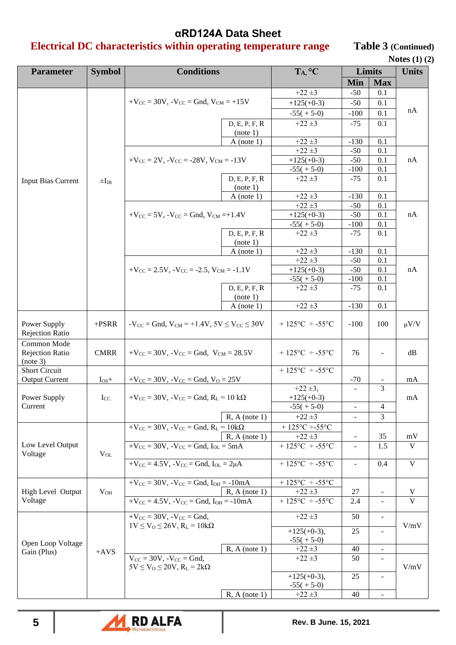# **Electrical DC characteristics within operating temperature range Table 3 (Continued)**

| <b>Notes</b> $(1)$ $(2)$ |  |
|--------------------------|--|
|--------------------------|--|

| <b>Parameter</b>                                  | <b>Symbol</b> | <b>Conditions</b>                                          | T <sub>A</sub> , °C                        | Limits          |                          | <b>Units</b> |
|---------------------------------------------------|---------------|------------------------------------------------------------|--------------------------------------------|-----------------|--------------------------|--------------|
|                                                   |               |                                                            |                                            | Min             | <b>Max</b>               |              |
|                                                   |               |                                                            | $+22 \pm 3$                                | $-50$           | 0.1                      |              |
|                                                   |               | $+V_{CC}$ = 30V, $-V_{CC}$ = Gnd, $V_{CM}$ = +15V          | $+125(+0-3)$                               | $-50$           | 0.1                      |              |
|                                                   |               |                                                            | $-55(+5-0)$                                | $-100$          | 0.1                      | nA           |
|                                                   |               | D, E, P, F, R                                              | $+22 \pm 3$                                | $-75$           | 0.1                      |              |
|                                                   |               | (note 1)                                                   |                                            |                 |                          |              |
|                                                   |               | $A$ (note 1)                                               | $+22 \pm 3$                                | $-130$          | 0.1                      |              |
|                                                   |               |                                                            | $+22 \pm 3$                                | $-50$           | 0.1                      |              |
|                                                   |               | $+V_{CC} = 2V$ , $-V_{CC} = -28V$ , $V_{CM} = -13V$        | $+125(+0-3)$                               | $-50$           | 0.1                      | nA           |
|                                                   |               |                                                            | $-55(+5-0)$                                | $-100$          | 0.1                      |              |
| <b>Input Bias Current</b>                         | $\pm I_{IB}$  | D, E, P, F, R                                              | $+22 \pm 3$                                | $-75$           | 0.1                      |              |
|                                                   |               | (note 1)                                                   |                                            |                 |                          |              |
|                                                   |               | $A$ (note 1)                                               | $+22 \pm 3$                                | $-130$          | 0.1                      |              |
|                                                   |               |                                                            | $+22 \pm 3$                                | $-50$           | 0.1                      |              |
|                                                   |               | $+V_{CC}$ = 5V, $-V_{CC}$ = Gnd, $V_{CM}$ =+1.4V           | $+125(+0-3)$                               | $-50$           | 0.1                      | nA           |
|                                                   |               |                                                            | $-55(+5-0)$                                | $-100$          | 0.1                      |              |
|                                                   |               | D, E, P, F, R                                              | $+22 \pm 3$                                | $-75$           | 0.1                      |              |
|                                                   |               | (note 1)                                                   |                                            |                 |                          |              |
|                                                   |               | $A$ (note 1)                                               | $+22 \pm 3$<br>$+22 \pm 3$                 | $-130$<br>$-50$ | 0.1<br>0.1               |              |
|                                                   |               | $+V_{CC} = 2.5V$ , $-V_{CC} = -2.5$ , $V_{CM} = -1.1V$     | $+125(+0-3)$                               | $-50$           | 0.1                      | nA           |
|                                                   |               |                                                            | $-55(+5-0)$                                | $-100$          | 0.1                      |              |
|                                                   |               | D, E, P, F, R                                              | $+22 \pm 3$                                | $-75$           | 0.1                      |              |
|                                                   |               | (note 1)                                                   |                                            |                 |                          |              |
|                                                   |               | $A$ (note 1)                                               | $+22 \pm 3$                                | $-130$          | 0.1                      |              |
| Power Supply<br><b>Rejection Ratio</b>            | $+ PSRR$      | $-V_{CC}$ = Gnd, $V_{CM}$ = +1.4V, $5V \le V_{CC} \le 30V$ | $+ 125$ °C ÷ -55°C                         | $-100$          | 100                      | $\mu V/V$    |
| Common Mode<br><b>Rejection Ratio</b><br>(note 3) | <b>CMRR</b>   | $+V_{CC} = 30V$ , $-V_{CC} = Gnd$ , $V_{CM} = 28.5V$       | $+ 125$ °C ÷ -55°C                         | 76              |                          | dB           |
| <b>Short Circuit</b>                              |               |                                                            | +125 $\textdegree$ C = -55 $\textdegree$ C |                 |                          |              |
| <b>Output Current</b>                             | $I_{OS}+$     | $+V_{CC}$ = 30V, $-V_{CC}$ = Gnd, $V_0$ = 25V              |                                            | $-70$           |                          | mA           |
|                                                   |               |                                                            | $+22 \pm 3$ ,                              |                 | 3                        |              |
| Power Supply                                      | $I_{CC}$      | $+V_{CC}$ = 30V, $-V_{CC}$ = Gnd, $R_L$ = 10 k $\Omega$    | $+125(+0-3)$                               |                 |                          | mA           |
| Current                                           |               |                                                            | $-55(+5-0)$                                |                 | $\overline{4}$           |              |
|                                                   |               | $R, A$ (note 1)                                            | $+22 \pm 3$                                |                 | 3                        |              |
|                                                   |               | $+V_{CC}$ = 30V, $-V_{CC}$ = Gnd, $R_L$ = 10k $\Omega$     | $+ 125$ °C ÷-55°C                          |                 |                          |              |
|                                                   |               | $R, A$ (note 1)                                            | $+22 \pm 3$                                |                 | 35                       | mV           |
| Low Level Output<br>Voltage                       | $V_{OL}$      | $+V_{CC}$ = 30V, $-V_{CC}$ = Gnd, $I_{OL}$ = 5mA           | +125 $^{\circ}$ C = -55 $^{\circ}$ C       |                 | 1.5                      | V            |
|                                                   |               | $+V_{CC} = 4.5V$ , $-V_{CC} = Gnd$ , $I_{OL} = 2\mu A$     | +125 $^{\circ}$ C = -55 $^{\circ}$ C       |                 | 0.4                      | $\mathbf V$  |
|                                                   |               | $+V_{CC} = 30V$ , $-V_{CC} = Gnd$ , $I_{OH} = -10mA$       | $+ 125$ °C ÷ -55°C                         |                 |                          |              |
| High Level Output                                 | $V_{OH}$      | $R, A$ (note 1)                                            | $+22 \pm 3$                                | 27              |                          | V            |
| Voltage                                           |               | $+V_{CC} = 4.5V$ , $-V_{CC} = Gnd$ , $I_{OH} = -10mA$      | +125°C ÷ -55°C                             | 2.4             |                          | V            |
|                                                   |               | $+V_{CC} = 30V, -V_{CC} = Gnd,$                            | $+22 \pm 3$                                | 50              | $\blacksquare$           |              |
|                                                   |               | $1V \le V_0 \le 26V$ , $R_L = 10k\Omega$                   |                                            | 25              |                          | V/mV         |
|                                                   |               |                                                            | $+125(+0-3),$                              |                 |                          |              |
| Open Loop Voltage                                 |               | $R, A$ (note 1)                                            | $-55(+5-0)$<br>$+22 \pm 3$                 | 40              | $\overline{\phantom{a}}$ |              |
| Gain (Plus)                                       | $+AVS$        | $V_{CC}$ = 30V, $-V_{CC}$ = Gnd,                           | $+22 \pm 3$                                | 50              |                          |              |
|                                                   |               | $5V \le V_O \le 20V$ , $R_L = 2k\Omega$                    |                                            |                 |                          | V/mV         |
|                                                   |               |                                                            | $+125(+0-3)$ ,                             | 25              | $\blacksquare$           |              |
|                                                   |               |                                                            | $-55(+5-0)$                                |                 |                          |              |
|                                                   |               | $R, A$ (note 1)                                            | $+22 \pm 3$                                | 40              | $\equiv$                 |              |

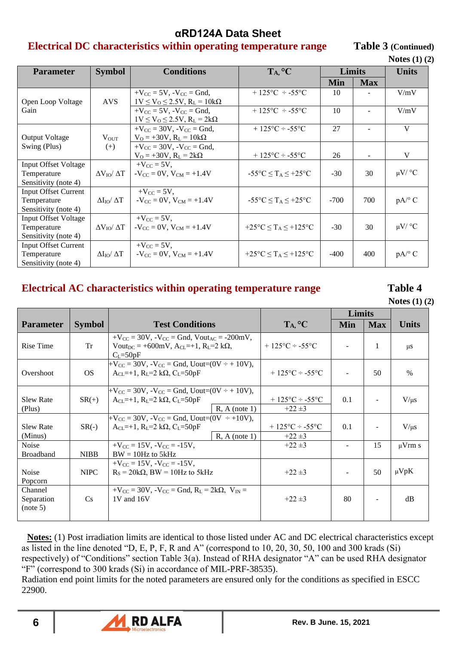### **Electrical DC characteristics within operating temperature range Table 3 (Continued)**

|                                                                    |                            |                                                                                      |                                                                       |            |                | Notes $(1)$ $(2)$       |  |
|--------------------------------------------------------------------|----------------------------|--------------------------------------------------------------------------------------|-----------------------------------------------------------------------|------------|----------------|-------------------------|--|
| <b>Parameter</b>                                                   | <b>Symbol</b>              | <b>Conditions</b>                                                                    | T <sub>A</sub> , °C                                                   | Limits     |                | <b>Units</b>            |  |
|                                                                    |                            |                                                                                      |                                                                       | <b>Min</b> | <b>Max</b>     |                         |  |
| Open Loop Voltage                                                  | <b>AVS</b>                 | $+V_{CC}$ = 5V, $-V_{CC}$ = Gnd,<br>$1V \le V_0 \le 2.5V$ , $R_L = 10k\Omega$        | $+ 125$ °C ÷ -55°C                                                    | 10         |                | V/mV                    |  |
| Gain                                                               |                            | $+V_{\rm CC}$ = 5V, $-V_{\rm CC}$ = Gnd,<br>$1V \le V_0 \le 2.5V$ , $R_L = 2k\Omega$ | $+125^{\circ}C \div -55^{\circ}C$                                     | 10         |                | V/mV                    |  |
| <b>Output Voltage</b>                                              | $V_{OUT}$                  | $+V_{\rm CC} = 30V$ , $-V_{\rm CC} = Gnd$ ,<br>$V_0 = +30V$ , $R_L = 10k\Omega$      | $+125\textdegree C \div -55\textdegree C$                             | 27         |                | V                       |  |
| Swing (Plus)                                                       | $(+)$                      | $+V_{CC} = 30V$ , $-V_{CC} = Gnd$ ,<br>$V_0 = +30V$ , $R_L = 2k\Omega$               | $+125\textdegree C - 55\textdegree C$                                 | 26         | $\blacksquare$ | V                       |  |
| <b>Input Offset Voltage</b><br>Temperature<br>Sensitivity (note 4) | $\Delta V_{IO}/\Delta T$   | $+V_{\rm CC} = 5V$ ,<br>$-V_{\rm CC} = 0V$ , $V_{\rm CM} = +1.4V$                    | $-55^{\circ}$ C $\leq$ T <sub>A</sub> $\leq$ +25°C                    | $-30$      | 30             | $\mu$ V/ $\,^{\circ}$ C |  |
| <b>Input Offset Current</b><br>Temperature<br>Sensitivity (note 4) | $\Delta I_{IO}/\Delta T$   | $+V_{CC}$ = 5V,<br>$-V_{CC} = 0V$ , $V_{CM} = +1.4V$                                 | $-55^{\circ}$ C $\leq$ T <sub>A</sub> $\leq$ +25°C                    | $-700$     | 700            | $pA$ <sup>o</sup> C     |  |
| <b>Input Offset Voltage</b><br>Temperature<br>Sensitivity (note 4) | $\Delta V_{IO}/\Delta T$   | $+V_{CC}$ = 5V,<br>$-V_{CC} = 0V$ , $V_{CM} = +1.4V$                                 | +25 $\textdegree$ C $\leq$ T <sub>A</sub> $\leq$ +125 $\textdegree$ C | $-30$      | 30             | $\mu$ V/ °C             |  |
| <b>Input Offset Current</b><br>Temperature<br>Sensitivity (note 4) | $\Delta I_{IO} / \Delta T$ | $+V_{CC} = 5V$ ,<br>$-V_{CC} = 0V$ , $V_{CM} = +1.4V$                                | +25 $\textdegree$ C $\leq$ T <sub>A</sub> $\leq$ +125 $\textdegree$ C | $-400$     | 400            | $pA$ <sup>o</sup> C     |  |

## **Electrical AC characteristics within operating temperature range Table 4**

**Notes (1) (2)** 

|                                   |               |                                                                                                                                                                   |                                                          | <b>Limits</b> |            |               |
|-----------------------------------|---------------|-------------------------------------------------------------------------------------------------------------------------------------------------------------------|----------------------------------------------------------|---------------|------------|---------------|
| <b>Parameter</b>                  | <b>Symbol</b> | <b>Test Conditions</b>                                                                                                                                            | TA, °C                                                   | <b>Min</b>    | <b>Max</b> | <b>Units</b>  |
| <b>Rise Time</b>                  | Tr            | $+V_{CC} = 30V$ , $-V_{CC} = Gnd$ , $V_{out_{AC}} = -200mV$ ,<br>Vout <sub>DC</sub> = +600mV, A <sub>CL</sub> =+1, R <sub>L</sub> =2 k $\Omega$ ,<br>$C_I = 50pF$ | $+125\degree C - 55\degree C$                            |               | 1          | $\mu$ S       |
| Overshoot                         | <b>OS</b>     | $+V_{CC} = 30V$ , $-V_{CC} = Gnd$ , Uout= $(0V \div + 10V)$ ,<br>$A_{CL}=+1$ , $R_{L}=2 k\Omega$ , $C_{L}=50pF$                                                   | $+125\degree C \div -55\degree C$                        |               | 50         | $\frac{0}{0}$ |
| <b>Slew Rate</b><br>(Plus)        | $SR(+)$       | $+V_{CC}$ = 30V, $-V_{CC}$ = Gnd, Uout=(0V ÷ + 10V),<br>$A_{CL}=+1$ , $R_{L}=2 k\Omega$ , $C_{L}=50pF$<br>$R$ , A (note 1)                                        | $+ 125$ °C ÷ -55°C<br>$+22 \pm 3$                        | 0.1           |            | $V/\mu s$     |
| <b>Slew Rate</b><br>(Minus)       | $SR(-)$       | $+V_{CC} = 30V$ , $-V_{CC} = Gnd$ , Uout=(0V $\div$ +10V),<br>$A_{CI} = +1$ , $R_I = 2 k\Omega$ , $C_I = 50pF$<br>$R, A$ (note 1)                                 | $+125\textdegree C \div -55\textdegree C$<br>$+22 \pm 3$ | 0.1           |            | $V/\mu s$     |
| Noise<br><b>Broadband</b>         | <b>NIBB</b>   | $+V_{CC} = 15V$ . $-V_{CC} = -15V$ .<br>$BW = 10Hz$ to 5kHz                                                                                                       | $+22 \pm 3$                                              |               | 15         | $\mu V$ rm s  |
| Noise<br>Popcorn                  | <b>NIPC</b>   | $+V_{CC} = 15V$ , $-V_{CC} = -15V$ ,<br>$R_s = 20k\Omega$ , BW = 10Hz to 5kHz                                                                                     | $+22 \pm 3$                                              |               | 50         | $\mu VpK$     |
| Channel<br>Separation<br>(note 5) | Cs            | $+V_{\rm CC} = 30V$ , $-V_{\rm CC} = G$ nd, $R_{\rm L} = 2k\Omega$ , $V_{\rm IN} =$<br>1V and 16V                                                                 | $+22 \pm 3$                                              | 80            |            | dB            |

**Notes:** (1) Post irradiation limits are identical to those listed under AC and DC electrical characteristics except as listed in the line denoted "D, E, P, F, R and A" (correspond to 10, 20, 30, 50, 100 and 300 krads (Si) respectively) of "Conditions" section Table 3(a). Instead of RHA designator "A" can be used RHA designator "F" (correspond to 300 krads (Si) in accordance of MIL-PRF-38535).

Radiation end point limits for the noted parameters are ensured only for the conditions as specified in ESCC 22900.

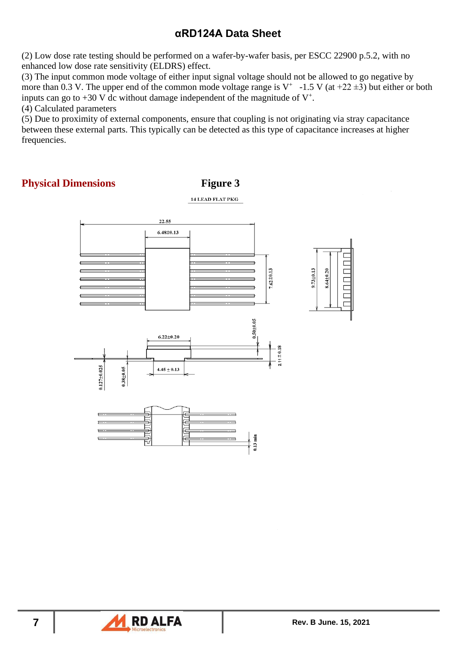(2) Low dose rate testing should be performed on a wafer-by-wafer basis, per ESCC 22900 p.5.2, with no enhanced low dose rate sensitivity (ELDRS) effect.

(3) The input common mode voltage of either input signal voltage should not be allowed to go negative by more than 0.3 V. The upper end of the common mode voltage range is  $V^+$  -1.5 V (at +22  $\pm$ 3) but either or both inputs can go to  $+30$  V dc without damage independent of the magnitude of  $V^+$ .

(4) Calculated parameters

(5) Due to proximity of external components, ensure that coupling is not originating via stray capacitance between these external parts. This typically can be detected as this type of capacitance increases at higher frequencies.

### **Physical Dimensions Figure 3**